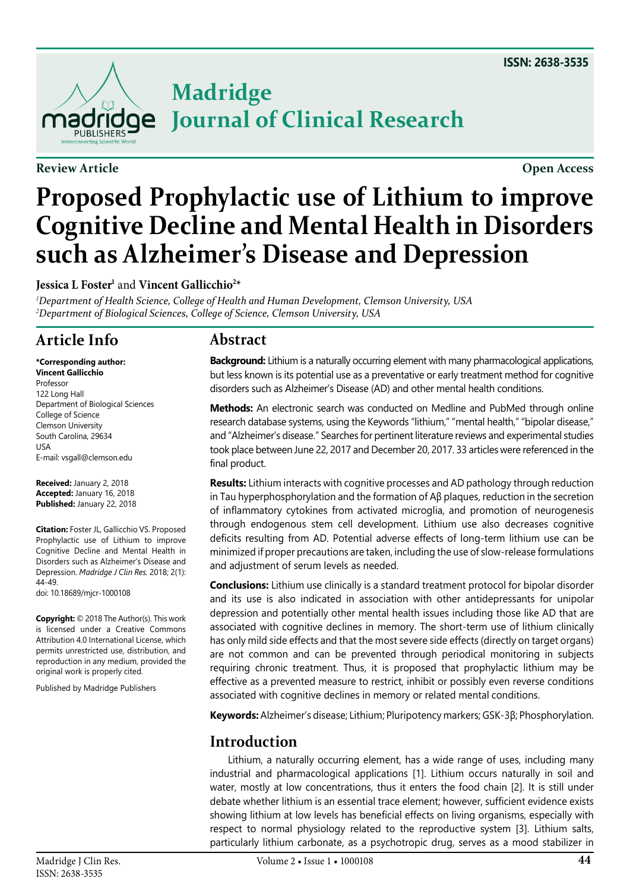

**Review Article Open Access**

# **Madridge Journal of Clinical Research**

# **Proposed Prophylactic use of Lithium to improve Cognitive Decline and Mental Health in Disorders such as Alzheimer's Disease and Depression**

**Jessica L Foster'** and **Vincent Gallicchio<sup>2\*</sup>** 

*1 Department of Health Science, College of Health and Human Development, Clemson University, USA 2 Department of Biological Sciences, College of Science, Clemson University, USA*

# **Article Info**

**\*Corresponding author: Vincent Gallicchio** Professor 122 Long Hall Department of Biological Sciences College of Science Clemson University South Carolina, 29634 USA E-mail: vsgall@clemson.edu

**Received:** January 2, 2018 **Accepted:** January 16, 2018 **Published:** January 22, 2018

**Citation:** Foster JL, Gallicchio VS. Proposed Prophylactic use of Lithium to improve Cognitive Decline and Mental Health in Disorders such as Alzheimer's Disease and Depression. *Madridge J Clin Res.* 2018; 2(1): 44-49.

doi: [10.18689/mjcr-1000108](https://doi.org/10.18689/mjcr-1000108)

**Copyright:** © 2018 The Author(s). This work is licensed under a Creative Commons Attribution 4.0 International License, which permits unrestricted use, distribution, and reproduction in any medium, provided the original work is properly cited.

Published by Madridge Publishers

### **Abstract**

**Background:** Lithium is a naturally occurring element with many pharmacological applications, but less known is its potential use as a preventative or early treatment method for cognitive disorders such as Alzheimer's Disease (AD) and other mental health conditions.

**Methods:** An electronic search was conducted on Medline and PubMed through online research database systems, using the Keywords "lithium," "mental health," "bipolar disease," and "Alzheimer's disease." Searches for pertinent literature reviews and experimental studies took place between June 22, 2017 and December 20, 2017. 33 articles were referenced in the final product.

**Results:** Lithium interacts with cognitive processes and AD pathology through reduction in Tau hyperphosphorylation and the formation of Aβ plaques, reduction in the secretion of inflammatory cytokines from activated microglia, and promotion of neurogenesis through endogenous stem cell development. Lithium use also decreases cognitive deficits resulting from AD. Potential adverse effects of long-term lithium use can be minimized if proper precautions are taken, including the use of slow-release formulations and adjustment of serum levels as needed.

**Conclusions:** Lithium use clinically is a standard treatment protocol for bipolar disorder and its use is also indicated in association with other antidepressants for unipolar depression and potentially other mental health issues including those like AD that are associated with cognitive declines in memory. The short-term use of lithium clinically has only mild side effects and that the most severe side effects (directly on target organs) are not common and can be prevented through periodical monitoring in subjects requiring chronic treatment. Thus, it is proposed that prophylactic lithium may be effective as a prevented measure to restrict, inhibit or possibly even reverse conditions associated with cognitive declines in memory or related mental conditions.

**Keywords:** Alzheimer's disease; Lithium; Pluripotency markers; GSK-3β; Phosphorylation.

## **Introduction**

Lithium, a naturally occurring element, has a wide range of uses, including many industrial and pharmacological applications [[1](#page-5-0)]. Lithium occurs naturally in soil and water, mostly at low concentrations, thus it enters the food chain [[2](#page-5-1)]. It is still under debate whether lithium is an essential trace element; however, sufficient evidence exists showing lithium at low levels has beneficial effects on living organisms, especially with respect to normal physiology related to the reproductive system [\[3\]](#page-5-2). Lithium salts, particularly lithium carbonate, as a psychotropic drug, serves as a mood stabilizer in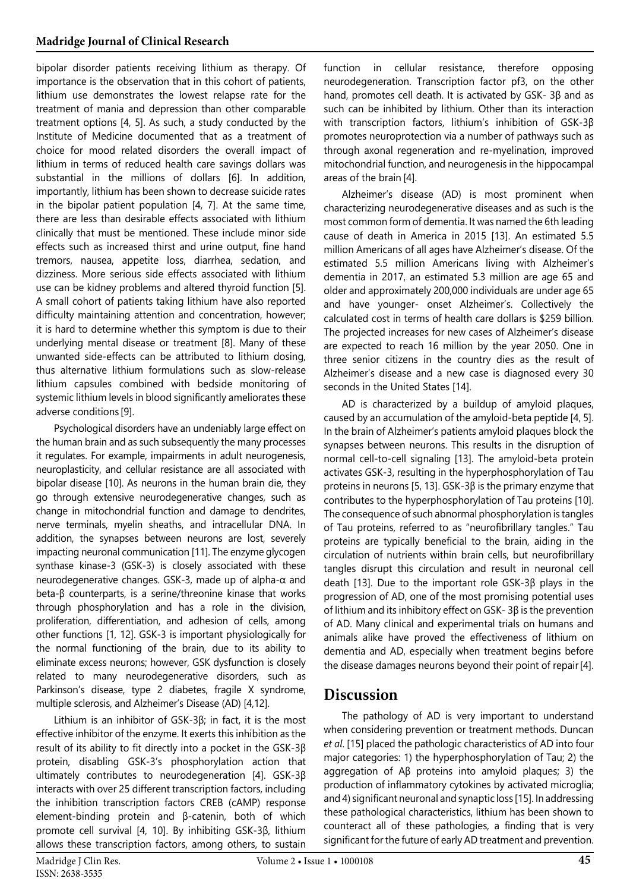bipolar disorder patients receiving lithium as therapy. Of importance is the observation that in this cohort of patients, lithium use demonstrates the lowest relapse rate for the treatment of mania and depression than other comparable treatment options [[4,](#page-5-3) [5\]](#page-5-4). As such, a study conducted by the Institute of Medicine documented that as a treatment of choice for mood related disorders the overall impact of lithium in terms of reduced health care savings dollars was substantial in the millions of dollars [[6\]](#page-5-5). In addition, importantly, lithium has been shown to decrease suicide rates in the bipolar patient population [[4,](#page-5-3) [7](#page-5-6)]. At the same time, there are less than desirable effects associated with lithium clinically that must be mentioned. These include minor side effects such as increased thirst and urine output, fine hand tremors, nausea, appetite loss, diarrhea, sedation, and dizziness. More serious side effects associated with lithium use can be kidney problems and altered thyroid function [\[5](#page-5-4)]. A small cohort of patients taking lithium have also reported difficulty maintaining attention and concentration, however; it is hard to determine whether this symptom is due to their underlying mental disease or treatment [\[8](#page-5-7)]. Many of these unwanted side-effects can be attributed to lithium dosing, thus alternative lithium formulations such as slow-release lithium capsules combined with bedside monitoring of systemic lithium levels in blood significantly ameliorates these adverse conditions [[9](#page-5-8)].

Psychological disorders have an undeniably large effect on the human brain and as such subsequently the many processes it regulates. For example, impairments in adult neurogenesis, neuroplasticity, and cellular resistance are all associated with bipolar disease [\[10](#page-5-9)]. As neurons in the human brain die, they go through extensive neurodegenerative changes, such as change in mitochondrial function and damage to dendrites, nerve terminals, myelin sheaths, and intracellular DNA. In addition, the synapses between neurons are lost, severely impacting neuronal communication [[11\]](#page-5-10). The enzyme glycogen synthase kinase-3 (GSK-3) is closely associated with these neurodegenerative changes. GSK-3, made up of alpha-α and beta-β counterparts, is a serine/threonine kinase that works through phosphorylation and has a role in the division, proliferation, differentiation, and adhesion of cells, among other functions [\[1](#page-5-0), [12\]](#page-5-11). GSK-3 is important physiologically for the normal functioning of the brain, due to its ability to eliminate excess neurons; however, GSK dysfunction is closely related to many neurodegenerative disorders, such as Parkinson's disease, type 2 diabetes, fragile X syndrome, multiple sclerosis, and Alzheimer's Disease (AD) [\[4](#page-5-3)[,12](#page-5-11)].

Lithium is an inhibitor of GSK-3β; in fact, it is the most effective inhibitor of the enzyme. It exerts this inhibition as the result of its ability to fit directly into a pocket in the GSK-3β protein, disabling GSK-3's phosphorylation action that ultimately contributes to neurodegeneration [\[4](#page-5-3)]. GSK-3β interacts with over 25 different transcription factors, including the inhibition transcription factors CREB (cAMP) response element-binding protein and β-catenin, both of which promote cell survival [\[4](#page-5-3), [10](#page-5-9)]. By inhibiting GSK-3β, lithium allows these transcription factors, among others, to sustain

function in cellular resistance, therefore opposing neurodegeneration. Transcription factor pf3, on the other hand, promotes cell death. It is activated by GSK- 3β and as such can be inhibited by lithium. Other than its interaction with transcription factors, lithium's inhibition of GSK-3β promotes neuroprotection via a number of pathways such as through axonal regeneration and re-myelination, improved mitochondrial function, and neurogenesis in the hippocampal areas of the brain [\[4](#page-5-3)].

Alzheimer's disease (AD) is most prominent when characterizing neurodegenerative diseases and as such is the most common form of dementia. It was named the 6th leading cause of death in America in 2015 [\[13](#page-5-12)]. An estimated 5.5 million Americans of all ages have Alzheimer's disease. Of the estimated 5.5 million Americans living with Alzheimer's dementia in 2017, an estimated 5.3 million are age 65 and older and approximately 200,000 individuals are under age 65 and have younger- onset Alzheimer's. Collectively the calculated cost in terms of health care dollars is \$259 billion. The projected increases for new cases of Alzheimer's disease are expected to reach 16 million by the year 2050. One in three senior citizens in the country dies as the result of Alzheimer's disease and a new case is diagnosed every 30 seconds in the United States [[14\]](#page-5-13).

AD is characterized by a buildup of amyloid plaques, caused by an accumulation of the amyloid-beta peptide [[4](#page-5-3), [5](#page-5-4)]. In the brain of Alzheimer's patients amyloid plaques block the synapses between neurons. This results in the disruption of normal cell-to-cell signaling [[13\]](#page-5-12). The amyloid-beta protein activates GSK-3, resulting in the hyperphosphorylation of Tau proteins in neurons [[5,](#page-5-4) [13](#page-5-12)]. GSK-3β is the primary enzyme that contributes to the hyperphosphorylation of Tau proteins [\[10](#page-5-9)]. The consequence of such abnormal phosphorylation is tangles of Tau proteins, referred to as "neurofibrillary tangles." Tau proteins are typically beneficial to the brain, aiding in the circulation of nutrients within brain cells, but neurofibrillary tangles disrupt this circulation and result in neuronal cell death [\[13](#page-5-12)]. Due to the important role GSK-3β plays in the progression of AD, one of the most promising potential uses of lithium and its inhibitory effect on GSK- 3β is the prevention of AD. Many clinical and experimental trials on humans and animals alike have proved the effectiveness of lithium on dementia and AD, especially when treatment begins before the disease damages neurons beyond their point of repair [\[4](#page-5-3)].

# **Discussion**

The pathology of AD is very important to understand when considering prevention or treatment methods. Duncan *et al*. [[15](#page-5-14)] placed the pathologic characteristics of AD into four major categories: 1) the hyperphosphorylation of Tau; 2) the aggregation of Aβ proteins into amyloid plaques; 3) the production of inflammatory cytokines by activated microglia; and 4) significant neuronal and synaptic loss [\[15\]](#page-5-14). In addressing these pathological characteristics, lithium has been shown to counteract all of these pathologies, a finding that is very significant for the future of early AD treatment and prevention.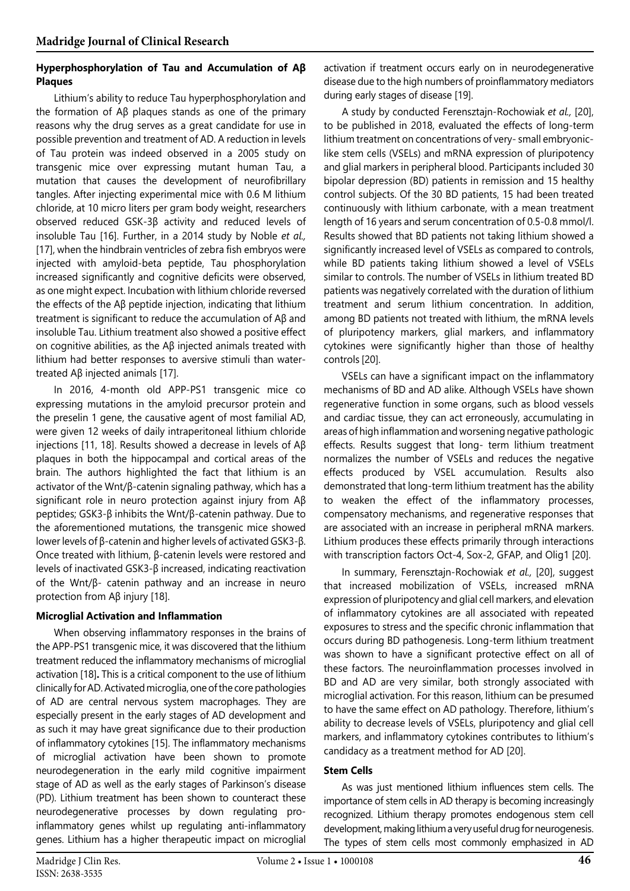#### **Hyperphosphorylation of Tau and Accumulation of Aβ Plaques**

Lithium's ability to reduce Tau hyperphosphorylation and the formation of Aβ plaques stands as one of the primary reasons why the drug serves as a great candidate for use in possible prevention and treatment of AD. A reduction in levels of Tau protein was indeed observed in a 2005 study on transgenic mice over expressing mutant human Tau, a mutation that causes the development of neurofibrillary tangles. After injecting experimental mice with 0.6 M lithium chloride, at 10 micro liters per gram body weight, researchers observed reduced GSK-3β activity and reduced levels of insoluble Tau [\[16\]](#page-5-15). Further, in a 2014 study by Noble *et al.,*  [[17](#page-5-16)], when the hindbrain ventricles of zebra fish embryos were injected with amyloid-beta peptide, Tau phosphorylation increased significantly and cognitive deficits were observed, as one might expect. Incubation with lithium chloride reversed the effects of the Aβ peptide injection, indicating that lithium treatment is significant to reduce the accumulation of Aβ and insoluble Tau. Lithium treatment also showed a positive effect on cognitive abilities, as the Aβ injected animals treated with lithium had better responses to aversive stimuli than watertreated Aβ injected animals [[17\]](#page-5-16).

In 2016, 4-month old APP-PS1 transgenic mice co expressing mutations in the amyloid precursor protein and the preselin 1 gene, the causative agent of most familial AD, were given 12 weeks of daily intraperitoneal lithium chloride injections [[11,](#page-5-10) [18](#page-5-17)]. Results showed a decrease in levels of Aβ plaques in both the hippocampal and cortical areas of the brain. The authors highlighted the fact that lithium is an activator of the Wnt/β-catenin signaling pathway, which has a significant role in neuro protection against injury from Aβ peptides; GSK3-β inhibits the Wnt/β-catenin pathway. Due to the aforementioned mutations, the transgenic mice showed lower levels of β-catenin and higher levels of activated GSK3-β. Once treated with lithium, β-catenin levels were restored and levels of inactivated GSK3-β increased, indicating reactivation of the Wnt/β- catenin pathway and an increase in neuro protection from Aβ injury [\[18\]](#page-5-17).

#### **Microglial Activation and Inflammation**

When observing inflammatory responses in the brains of the APP-PS1 transgenic mice, it was discovered that the lithium treatment reduced the inflammatory mechanisms of microglial activation [[18\]](#page-5-17)**.** This is a critical component to the use of lithium clinically for AD. Activated microglia, one of the core pathologies of AD are central nervous system macrophages. They are especially present in the early stages of AD development and as such it may have great significance due to their production of inflammatory cytokines [\[15](#page-5-14)]. The inflammatory mechanisms of microglial activation have been shown to promote neurodegeneration in the early mild cognitive impairment stage of AD as well as the early stages of Parkinson's disease (PD). Lithium treatment has been shown to counteract these neurodegenerative processes by down regulating proinflammatory genes whilst up regulating anti-inflammatory genes. Lithium has a higher therapeutic impact on microglial

activation if treatment occurs early on in neurodegenerative disease due to the high numbers of proinflammatory mediators during early stages of disease [\[19\]](#page-5-18).

A study by conducted Ferensztajn-Rochowiak *et al.,* [\[20](#page-5-19)], to be published in 2018, evaluated the effects of long-term lithium treatment on concentrations of very- small embryoniclike stem cells (VSELs) and mRNA expression of pluripotency and glial markers in peripheral blood. Participants included 30 bipolar depression (BD) patients in remission and 15 healthy control subjects. Of the 30 BD patients, 15 had been treated continuously with lithium carbonate, with a mean treatment length of 16 years and serum concentration of 0.5-0.8 mmol/l. Results showed that BD patients not taking lithium showed a significantly increased level of VSELs as compared to controls, while BD patients taking lithium showed a level of VSELs similar to controls. The number of VSELs in lithium treated BD patients was negatively correlated with the duration of lithium treatment and serum lithium concentration. In addition, among BD patients not treated with lithium, the mRNA levels of pluripotency markers, glial markers, and inflammatory cytokines were significantly higher than those of healthy controls [[20\]](#page-5-19).

VSELs can have a significant impact on the inflammatory mechanisms of BD and AD alike. Although VSELs have shown regenerative function in some organs, such as blood vessels and cardiac tissue, they can act erroneously, accumulating in areas of high inflammation and worsening negative pathologic effects. Results suggest that long- term lithium treatment normalizes the number of VSELs and reduces the negative effects produced by VSEL accumulation. Results also demonstrated that long-term lithium treatment has the ability to weaken the effect of the inflammatory processes, compensatory mechanisms, and regenerative responses that are associated with an increase in peripheral mRNA markers. Lithium produces these effects primarily through interactions with transcription factors Oct-4, Sox-2, GFAP, and Olig1 [\[20\]](#page-5-19).

In summary, Ferensztajn-Rochowiak *et al.,* [\[20\]](#page-5-19), suggest that increased mobilization of VSELs, increased mRNA expression of pluripotency and glial cell markers, and elevation of inflammatory cytokines are all associated with repeated exposures to stress and the specific chronic inflammation that occurs during BD pathogenesis. Long-term lithium treatment was shown to have a significant protective effect on all of these factors. The neuroinflammation processes involved in BD and AD are very similar, both strongly associated with microglial activation. For this reason, lithium can be presumed to have the same effect on AD pathology. Therefore, lithium's ability to decrease levels of VSELs, pluripotency and glial cell markers, and inflammatory cytokines contributes to lithium's candidacy as a treatment method for AD [[20\]](#page-5-19).

#### **Stem Cells**

As was just mentioned lithium influences stem cells. The importance of stem cells in AD therapy is becoming increasingly recognized. Lithium therapy promotes endogenous stem cell development, making lithium a very useful drug for neurogenesis. The types of stem cells most commonly emphasized in AD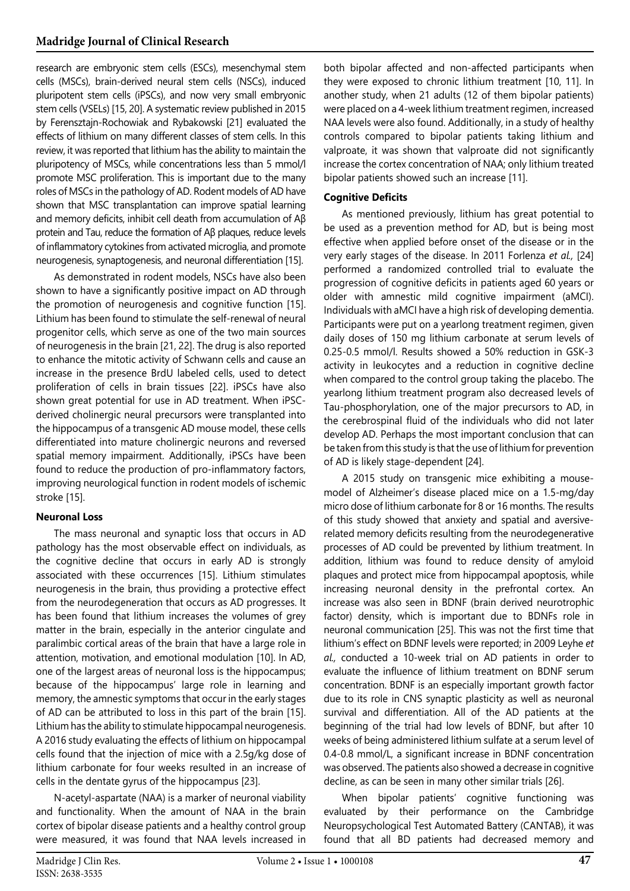research are embryonic stem cells (ESCs), mesenchymal stem cells (MSCs), brain-derived neural stem cells (NSCs), induced pluripotent stem cells (iPSCs), and now very small embryonic stem cells (VSELs) [\[15](#page-5-14), [20\]](#page-5-19). A systematic review published in 2015 by Ferensztajn-Rochowiak and Rybakowski [[21\]](#page-5-20) evaluated the effects of lithium on many different classes of stem cells. In this review, it was reported that lithium has the ability to maintain the pluripotency of MSCs, while concentrations less than 5 mmol/l promote MSC proliferation. This is important due to the many roles of MSCs in the pathology of AD. Rodent models of AD have shown that MSC transplantation can improve spatial learning and memory deficits, inhibit cell death from accumulation of Aβ protein and Tau, reduce the formation of Aβ plaques, reduce levels of inflammatory cytokines from activated microglia, and promote neurogenesis, synaptogenesis, and neuronal differentiation [\[15](#page-5-14)].

As demonstrated in rodent models, NSCs have also been shown to have a significantly positive impact on AD through the promotion of neurogenesis and cognitive function [[15](#page-5-14)]. Lithium has been found to stimulate the self-renewal of neural progenitor cells, which serve as one of the two main sources of neurogenesis in the brain [\[21,](#page-5-20) [22](#page-5-21)]. The drug is also reported to enhance the mitotic activity of Schwann cells and cause an increase in the presence BrdU labeled cells, used to detect proliferation of cells in brain tissues [[22\]](#page-5-21). iPSCs have also shown great potential for use in AD treatment. When iPSCderived cholinergic neural precursors were transplanted into the hippocampus of a transgenic AD mouse model, these cells differentiated into mature cholinergic neurons and reversed spatial memory impairment. Additionally, iPSCs have been found to reduce the production of pro-inflammatory factors, improving neurological function in rodent models of ischemic stroke [\[15\]](#page-5-14).

#### **Neuronal Loss**

The mass neuronal and synaptic loss that occurs in AD pathology has the most observable effect on individuals, as the cognitive decline that occurs in early AD is strongly associated with these occurrences [[15\]](#page-5-14). Lithium stimulates neurogenesis in the brain, thus providing a protective effect from the neurodegeneration that occurs as AD progresses. It has been found that lithium increases the volumes of grey matter in the brain, especially in the anterior cingulate and paralimbic cortical areas of the brain that have a large role in attention, motivation, and emotional modulation [\[10\]](#page-5-9). In AD, one of the largest areas of neuronal loss is the hippocampus; because of the hippocampus' large role in learning and memory, the amnestic symptoms that occur in the early stages of AD can be attributed to loss in this part of the brain [[15](#page-5-14)]. Lithium has the ability to stimulate hippocampal neurogenesis. A 2016 study evaluating the effects of lithium on hippocampal cells found that the injection of mice with a 2.5g/kg dose of lithium carbonate for four weeks resulted in an increase of cells in the dentate gyrus of the hippocampus [[23](#page-5-22)].

N-acetyl-aspartate (NAA) is a marker of neuronal viability and functionality. When the amount of NAA in the brain cortex of bipolar disease patients and a healthy control group were measured, it was found that NAA levels increased in

both bipolar affected and non-affected participants when they were exposed to chronic lithium treatment [\[10,](#page-5-9) [11\]](#page-5-10). In another study, when 21 adults (12 of them bipolar patients) were placed on a 4-week lithium treatment regimen, increased NAA levels were also found. Additionally, in a study of healthy controls compared to bipolar patients taking lithium and valproate, it was shown that valproate did not significantly increase the cortex concentration of NAA; only lithium treated bipolar patients showed such an increase [[11\]](#page-5-10).

#### **Cognitive Deficits**

As mentioned previously, lithium has great potential to be used as a prevention method for AD, but is being most effective when applied before onset of the disease or in the very early stages of the disease. In 2011 Forlenza *et al.,* [\[24](#page-5-23)] performed a randomized controlled trial to evaluate the progression of cognitive deficits in patients aged 60 years or older with amnestic mild cognitive impairment (aMCI). Individuals with aMCI have a high risk of developing dementia. Participants were put on a yearlong treatment regimen, given daily doses of 150 mg lithium carbonate at serum levels of 0.25-0.5 mmol/l. Results showed a 50% reduction in GSK-3 activity in leukocytes and a reduction in cognitive decline when compared to the control group taking the placebo. The yearlong lithium treatment program also decreased levels of Tau-phosphorylation, one of the major precursors to AD, in the cerebrospinal fluid of the individuals who did not later develop AD. Perhaps the most important conclusion that can be taken from this study is that the use of lithium for prevention of AD is likely stage-dependent [\[24\]](#page-5-23).

A 2015 study on transgenic mice exhibiting a mousemodel of Alzheimer's disease placed mice on a 1.5-mg/day micro dose of lithium carbonate for 8 or 16 months. The results of this study showed that anxiety and spatial and aversiverelated memory deficits resulting from the neurodegenerative processes of AD could be prevented by lithium treatment. In addition, lithium was found to reduce density of amyloid plaques and protect mice from hippocampal apoptosis, while increasing neuronal density in the prefrontal cortex. An increase was also seen in BDNF (brain derived neurotrophic factor) density, which is important due to BDNFs role in neuronal communication [[25](#page-5-24)]. This was not the first time that lithium's effect on BDNF levels were reported; in 2009 Leyhe *et al.,* conducted a 10-week trial on AD patients in order to evaluate the influence of lithium treatment on BDNF serum concentration. BDNF is an especially important growth factor due to its role in CNS synaptic plasticity as well as neuronal survival and differentiation. All of the AD patients at the beginning of the trial had low levels of BDNF, but after 10 weeks of being administered lithium sulfate at a serum level of 0.4-0.8 mmol/L, a significant increase in BDNF concentration was observed. The patients also showed a decrease in cognitive decline, as can be seen in many other similar trials [\[26](#page-5-25)].

When bipolar patients' cognitive functioning was evaluated by their performance on the Cambridge Neuropsychological Test Automated Battery (CANTAB), it was found that all BD patients had decreased memory and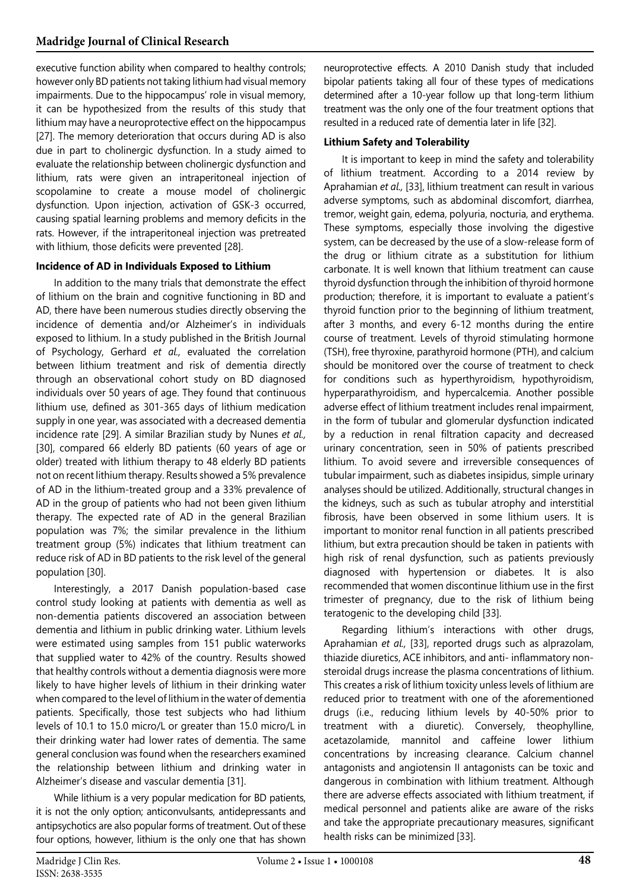executive function ability when compared to healthy controls; however only BD patients not taking lithium had visual memory impairments. Due to the hippocampus' role in visual memory, it can be hypothesized from the results of this study that lithium may have a neuroprotective effect on the hippocampus [[27\]](#page-5-26). The memory deterioration that occurs during AD is also due in part to cholinergic dysfunction. In a study aimed to evaluate the relationship between cholinergic dysfunction and lithium, rats were given an intraperitoneal injection of scopolamine to create a mouse model of cholinergic dysfunction. Upon injection, activation of GSK-3 occurred, causing spatial learning problems and memory deficits in the rats. However, if the intraperitoneal injection was pretreated with lithium, those deficits were prevented [[28\]](#page-5-27).

#### **Incidence of AD in Individuals Exposed to Lithium**

In addition to the many trials that demonstrate the effect of lithium on the brain and cognitive functioning in BD and AD, there have been numerous studies directly observing the incidence of dementia and/or Alzheimer's in individuals exposed to lithium. In a study published in the British Journal of Psychology, Gerhard *et al.,* evaluated the correlation between lithium treatment and risk of dementia directly through an observational cohort study on BD diagnosed individuals over 50 years of age. They found that continuous lithium use, defined as 301-365 days of lithium medication supply in one year, was associated with a decreased dementia incidence rate [[29\]](#page-5-28). A similar Brazilian study by Nunes *et al.,* [[30](#page-5-29)], compared 66 elderly BD patients (60 years of age or older) treated with lithium therapy to 48 elderly BD patients not on recent lithium therapy. Results showed a 5% prevalence of AD in the lithium-treated group and a 33% prevalence of AD in the group of patients who had not been given lithium therapy. The expected rate of AD in the general Brazilian population was 7%; the similar prevalence in the lithium treatment group (5%) indicates that lithium treatment can reduce risk of AD in BD patients to the risk level of the general population [[30](#page-5-29)].

Interestingly, a 2017 Danish population-based case control study looking at patients with dementia as well as non-dementia patients discovered an association between dementia and lithium in public drinking water. Lithium levels were estimated using samples from 151 public waterworks that supplied water to 42% of the country. Results showed that healthy controls without a dementia diagnosis were more likely to have higher levels of lithium in their drinking water when compared to the level of lithium in the water of dementia patients. Specifically, those test subjects who had lithium levels of 10.1 to 15.0 micro/L or greater than 15.0 micro/L in their drinking water had lower rates of dementia. The same general conclusion was found when the researchers examined the relationship between lithium and drinking water in Alzheimer's disease and vascular dementia [\[31\]](#page-5-30).

While lithium is a very popular medication for BD patients, it is not the only option; anticonvulsants, antidepressants and antipsychotics are also popular forms of treatment. Out of these four options, however, lithium is the only one that has shown

neuroprotective effects. A 2010 Danish study that included bipolar patients taking all four of these types of medications determined after a 10-year follow up that long-term lithium treatment was the only one of the four treatment options that resulted in a reduced rate of dementia later in life [\[32\]](#page-5-31).

#### **Lithium Safety and Tolerability**

It is important to keep in mind the safety and tolerability of lithium treatment. According to a 2014 review by Aprahamian *et al.,* [\[33](#page-5-32)], lithium treatment can result in various adverse symptoms, such as abdominal discomfort, diarrhea, tremor, weight gain, edema, polyuria, nocturia, and erythema. These symptoms, especially those involving the digestive system, can be decreased by the use of a slow-release form of the drug or lithium citrate as a substitution for lithium carbonate. It is well known that lithium treatment can cause thyroid dysfunction through the inhibition of thyroid hormone production; therefore, it is important to evaluate a patient's thyroid function prior to the beginning of lithium treatment, after 3 months, and every 6-12 months during the entire course of treatment. Levels of thyroid stimulating hormone (TSH), free thyroxine, parathyroid hormone (PTH), and calcium should be monitored over the course of treatment to check for conditions such as hyperthyroidism, hypothyroidism, hyperparathyroidism, and hypercalcemia. Another possible adverse effect of lithium treatment includes renal impairment, in the form of tubular and glomerular dysfunction indicated by a reduction in renal filtration capacity and decreased urinary concentration, seen in 50% of patients prescribed lithium. To avoid severe and irreversible consequences of tubular impairment, such as diabetes insipidus, simple urinary analyses should be utilized. Additionally, structural changes in the kidneys, such as such as tubular atrophy and interstitial fibrosis, have been observed in some lithium users. It is important to monitor renal function in all patients prescribed lithium, but extra precaution should be taken in patients with high risk of renal dysfunction, such as patients previously diagnosed with hypertension or diabetes. It is also recommended that women discontinue lithium use in the first trimester of pregnancy, due to the risk of lithium being teratogenic to the developing child [[33](#page-5-32)].

Regarding lithium's interactions with other drugs, Aprahamian *et al.,* [[33\]](#page-5-32), reported drugs such as alprazolam, thiazide diuretics, ACE inhibitors, and anti- inflammatory nonsteroidal drugs increase the plasma concentrations of lithium. This creates a risk of lithium toxicity unless levels of lithium are reduced prior to treatment with one of the aforementioned drugs (i.e., reducing lithium levels by 40-50% prior to treatment with a diuretic). Conversely, theophylline, acetazolamide, mannitol and caffeine lower lithium concentrations by increasing clearance. Calcium channel antagonists and angiotensin II antagonists can be toxic and dangerous in combination with lithium treatment. Although there are adverse effects associated with lithium treatment, if medical personnel and patients alike are aware of the risks and take the appropriate precautionary measures, significant health risks can be minimized [\[33\]](#page-5-32).